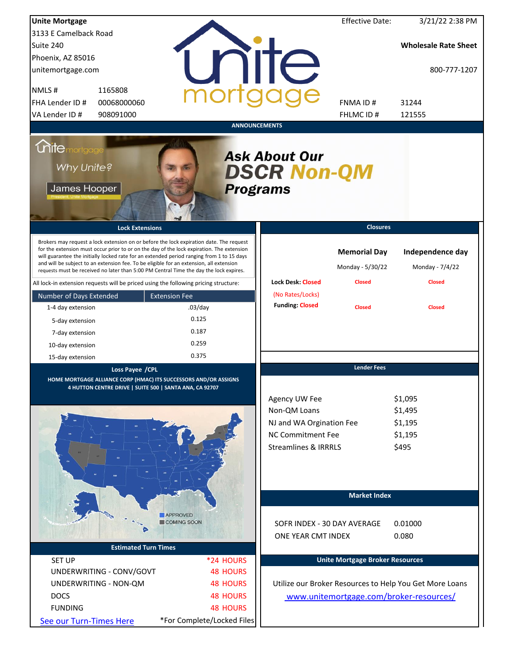| <b>Unite Mortgage</b>                             |                                                                                                                                                                                                                                                                                                                                                                                                                                                                        |                            |                                                                                                                   | <b>Effective Date:</b>                  | 3/21/22 2:38 PM                                         |
|---------------------------------------------------|------------------------------------------------------------------------------------------------------------------------------------------------------------------------------------------------------------------------------------------------------------------------------------------------------------------------------------------------------------------------------------------------------------------------------------------------------------------------|----------------------------|-------------------------------------------------------------------------------------------------------------------|-----------------------------------------|---------------------------------------------------------|
| 3133 E Camelback Road                             |                                                                                                                                                                                                                                                                                                                                                                                                                                                                        |                            |                                                                                                                   |                                         |                                                         |
| Suite 240                                         |                                                                                                                                                                                                                                                                                                                                                                                                                                                                        |                            |                                                                                                                   |                                         | <b>Wholesale Rate Sheet</b>                             |
| Phoenix, AZ 85016                                 |                                                                                                                                                                                                                                                                                                                                                                                                                                                                        |                            |                                                                                                                   |                                         |                                                         |
| unitemortgage.com                                 |                                                                                                                                                                                                                                                                                                                                                                                                                                                                        |                            | nite                                                                                                              |                                         | 800-777-1207                                            |
| NMLS#                                             | 1165808                                                                                                                                                                                                                                                                                                                                                                                                                                                                |                            |                                                                                                                   |                                         |                                                         |
| FHA Lender ID #                                   | 00068000060                                                                                                                                                                                                                                                                                                                                                                                                                                                            |                            |                                                                                                                   | <b>FNMAID#</b>                          | 31244                                                   |
| VA Lender ID #                                    | 908091000                                                                                                                                                                                                                                                                                                                                                                                                                                                              |                            |                                                                                                                   | FHLMC ID#                               | 121555                                                  |
|                                                   |                                                                                                                                                                                                                                                                                                                                                                                                                                                                        | <b>ANNOUNCEMENTS</b>       |                                                                                                                   |                                         |                                                         |
| <b>Mitemortgage</b><br>Why Unite?<br>James Hooper |                                                                                                                                                                                                                                                                                                                                                                                                                                                                        | <b>Programs</b>            | <b>Ask About Our</b><br><b>DSCR Non-QM</b>                                                                        |                                         |                                                         |
|                                                   | <b>Lock Extensions</b>                                                                                                                                                                                                                                                                                                                                                                                                                                                 |                            |                                                                                                                   | <b>Closures</b>                         |                                                         |
|                                                   | Brokers may request a lock extension on or before the lock expiration date. The request<br>for the extension must occur prior to or on the day of the lock expiration. The extension<br>will guarantee the initially locked rate for an extended period ranging from 1 to 15 days<br>and will be subject to an extension fee. To be eligible for an extension, all extension<br>requests must be received no later than 5:00 PM Central Time the day the lock expires. |                            |                                                                                                                   | <b>Memorial Day</b><br>Monday - 5/30/22 | Independence day<br>Monday - 7/4/22                     |
|                                                   | All lock-in extension requests will be priced using the following pricing structure:                                                                                                                                                                                                                                                                                                                                                                                   |                            | <b>Lock Desk: Closed</b>                                                                                          | <b>Closed</b>                           | <b>Closed</b>                                           |
| Number of Days Extended                           | <b>Extension Fee</b>                                                                                                                                                                                                                                                                                                                                                                                                                                                   |                            | (No Rates/Locks)<br><b>Funding: Closed</b>                                                                        |                                         |                                                         |
| 1-4 day extension                                 | $.03$ /day                                                                                                                                                                                                                                                                                                                                                                                                                                                             |                            |                                                                                                                   | <b>Closed</b>                           | <b>Closed</b>                                           |
| 5-day extension                                   | 0.125                                                                                                                                                                                                                                                                                                                                                                                                                                                                  |                            |                                                                                                                   |                                         |                                                         |
| 7-day extension                                   | 0.187                                                                                                                                                                                                                                                                                                                                                                                                                                                                  |                            |                                                                                                                   |                                         |                                                         |
| 10-day extension                                  | 0.259                                                                                                                                                                                                                                                                                                                                                                                                                                                                  |                            |                                                                                                                   |                                         |                                                         |
| 15-day extension                                  | 0.375                                                                                                                                                                                                                                                                                                                                                                                                                                                                  |                            |                                                                                                                   |                                         |                                                         |
|                                                   | Loss Payee / CPL<br>HOME MORTGAGE ALLIANCE CORP (HMAC) ITS SUCCESSORS AND/OR ASSIGNS<br>4 HUTTON CENTRE DRIVE   SUITE 500   SANTA ANA, CA 92707                                                                                                                                                                                                                                                                                                                        |                            | Agency UW Fee<br>Non-QM Loans<br>NJ and WA Orgination Fee<br>NC Commitment Fee<br><b>Streamlines &amp; IRRRLS</b> | <b>Lender Fees</b>                      | \$1,095<br>\$1,495<br>\$1,195<br>\$1,195<br>\$495       |
|                                                   |                                                                                                                                                                                                                                                                                                                                                                                                                                                                        |                            |                                                                                                                   | <b>Market Index</b>                     |                                                         |
|                                                   | <b>APPROVED</b><br>COMING SOON                                                                                                                                                                                                                                                                                                                                                                                                                                         |                            | SOFR INDEX - 30 DAY AVERAGE<br>ONE YEAR CMT INDEX                                                                 |                                         | 0.01000<br>0.080                                        |
|                                                   | <b>Estimated Turn Times</b>                                                                                                                                                                                                                                                                                                                                                                                                                                            |                            |                                                                                                                   |                                         |                                                         |
| <b>SET UP</b>                                     |                                                                                                                                                                                                                                                                                                                                                                                                                                                                        | *24 HOURS                  |                                                                                                                   | <b>Unite Mortgage Broker Resources</b>  |                                                         |
| UNDERWRITING - CONV/GOVT                          |                                                                                                                                                                                                                                                                                                                                                                                                                                                                        | <b>48 HOURS</b>            |                                                                                                                   |                                         |                                                         |
| UNDERWRITING - NON-QM                             |                                                                                                                                                                                                                                                                                                                                                                                                                                                                        | <b>48 HOURS</b>            |                                                                                                                   |                                         | Utilize our Broker Resources to Help You Get More Loans |
| <b>DOCS</b>                                       |                                                                                                                                                                                                                                                                                                                                                                                                                                                                        | <b>48 HOURS</b>            |                                                                                                                   |                                         | www.unitemortgage.com/broker-resources/                 |
| <b>FUNDING</b>                                    |                                                                                                                                                                                                                                                                                                                                                                                                                                                                        | <b>48 HOURS</b>            |                                                                                                                   |                                         |                                                         |
| See our Turn-Times Here                           |                                                                                                                                                                                                                                                                                                                                                                                                                                                                        | *For Complete/Locked Files |                                                                                                                   |                                         |                                                         |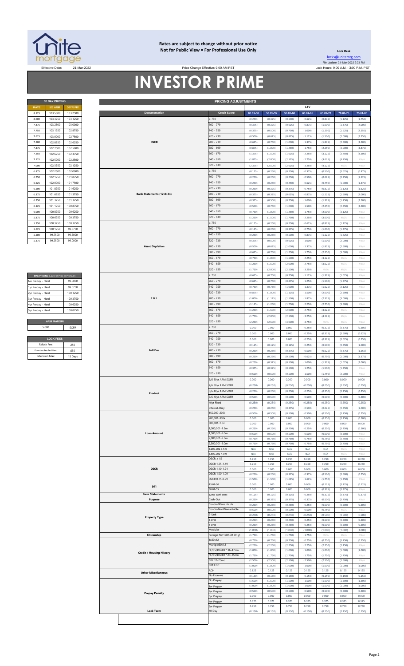

### **Rates are subject to change without prior notice Not for Public View • For Professional Use Only**

Price Change Effective: 9:00 AM PST

**30 DAY PRICING PRICING ADJUSTMENTS**

**Lock Desk** [locks@unitemtg](mailto:locks@unitemtg.com).com File Update: 21-Mar-2022 2:23 PM Effective Date: 21-Mar-2022 20 21-Mar-2022 20 21-Mar-2022 20 21:00 AM PST Price Change Effective: 9:00 AM PST

# **INVESTOR PRIME**

|             | <b>30 DAY PRICING</b> |                 |
|-------------|-----------------------|-----------------|
| <b>RATE</b> | <b>5/6 ARM</b>        | <b>30YR FIX</b> |
| 8.125       | 103.5000              | 103.2500        |
| 8.000       | 103.3750              | 103.1250        |
| 7.875       | 103.2500              | 103,0000        |
| 7.750       | 103.1250              | 102.8750        |
| 7.625       | 103,0000              | 102.7500        |
| 7.500       | 102.8750              | 102.6250        |
| 7.375       | 102.7500              | 102.5000        |
| 7.250       | 102.6250              | 102.3750        |
| 7.125       | 102.5000              | 102.2500        |
| 7.000       | 102.3750              | 102.1250        |
| 6.875       | 102.2500              | 102.0000        |
| 6.750       | 102.1250              | 101.8750        |
| 6.625       | 102.0000              | 101.7500        |
| 6.500       | 101.8750              | 101.6250        |
| 6.375       | 101.6250              | 101.3750        |
| 6.250       | 101.3750              | 101.1250        |
| 6.125       | 101.1250              | 100.8750        |
| 6.000       | 100.8750              | 100.6250        |
| 5.875       | 100.6250              | 100.3750        |
| 5.750       | 100.3750              | 100.1250        |
| 5.625       | 100.1250              | 99.8750         |
| 5.500       | 99.7500               | 99.5000         |
| 5375        | 99 2500               | 99.0000         |

| MAX PRICING (Lower of Price or Premium) |          |
|-----------------------------------------|----------|
| No Prepay - Hard                        | 99.0000  |
| 1yr Prepay - Hard                       | 99 8750  |
| 2yr Prepay - Hard                       | 100 1250 |
| 3yr Prepay - Hard                       | 100 3750 |
| 4yr Prepay - Hard                       | 100 6250 |
| 5yr Prepay - Hard                       | 100.8750 |
|                                         |          |
| <b>ARM MARGIN</b>                       |          |
| 5.000                                   | SOFR     |
|                                         |          |

| <b>LOCK FEES</b>        |         |  |  |  |  |  |  |  |  |
|-------------------------|---------|--|--|--|--|--|--|--|--|
| Relock Fee:             | 250     |  |  |  |  |  |  |  |  |
| Extension Fee Per Diem: | 030     |  |  |  |  |  |  |  |  |
| <b>Extension Max:</b>   | 15 Days |  |  |  |  |  |  |  |  |

| <b>RATE</b>             | <b>5/6 ARM</b>                          | 30YR FIX |  |                                                     |                |                                      |                    |                    |                    | LTV                |                    |                    |                            |
|-------------------------|-----------------------------------------|----------|--|-----------------------------------------------------|----------------|--------------------------------------|--------------------|--------------------|--------------------|--------------------|--------------------|--------------------|----------------------------|
| 8.125                   | 103.5000                                | 103.2500 |  | Documentation                                       |                | <b>Credit Score</b>                  | 00.01-50           | $50.01 - 55$       | 55.01-60           | 60.01-65           | 65.01-70           | 70.01-75           | 75.01-80                   |
| 8.000                   | 103.3750                                | 103.1250 |  |                                                     |                | 2780                                 | (0.250)            | (0.375)            | (0.500)            | (0.625)            | (0.875)            | (1.125)            | (1.750)                    |
| 7.875                   | 103.2500                                | 103.0000 |  |                                                     |                | 760 - 779                            | (0.375)            | (0.375)            | (0.625)            | (0.875)            | (1.000)            | (1.375)            | (2.000)                    |
| 7.750                   | 103.1250                                | 102.8750 |  |                                                     |                | 740 - 759                            | (0.375)            | (0.500)            | (0.750)            | (1.000)            | (1.250)            | (1.625)            |                            |
|                         |                                         |          |  |                                                     |                |                                      |                    |                    |                    |                    |                    |                    | (2.250)                    |
| 7.625                   | 103.0000                                | 102.7500 |  |                                                     |                | 720 - 739                            | (0.500)            | (0.625)            | (0.875)            | (1.125)            | (1.500)            | (2.000)            | (2.750)                    |
| 7.500                   | 102.8750                                | 102.6250 |  | <b>DSCR</b>                                         |                | 700 - 719                            | (0.625)            | (0.750)            | (1.000)            | (1.375)            | (1.875)            | (2.500)            | (3.500)                    |
| 7.375                   | 102.7500                                | 102.5000 |  |                                                     |                | 680 - 699                            | (0.875)            | (1.000)            | (1.250)            | (1.750)            | (2.250)            | (3.000)            | (3.875)                    |
| 7.250                   | 102.6250                                | 102.3750 |  |                                                     |                | $660 - 679$                          | (1.375)            | (1.500)            | (1.625)            | (2.250)            | (3.125)            | (3.750)            | (4.500)                    |
| 7.125                   | 102.5000                                | 102.2500 |  |                                                     |                | 640 - 659                            | (1.875)            | (2.000)            | (2.125)            | (2.750)            | (3.625)            | (4.750)            | $\#N/A$                    |
| 7.000                   | 102.3750                                | 102.1250 |  |                                                     |                | 620 - 639                            | (2.375)            | (2.500)            | (2.625)            | (3.250)            | (4.125)            | #N/A               | #N/A                       |
| 6.875                   | 102.2500                                | 102.0000 |  |                                                     |                | : 780                                | (0.125)            | (0.250)            | (0.250)            | (0.375)            | (0.500)            | (0.625)            | (0.875)                    |
|                         |                                         |          |  |                                                     |                |                                      |                    |                    |                    |                    |                    |                    |                            |
| 6.750                   | 102.1250                                | 101.8750 |  |                                                     |                | 760 - 779                            | (0.250)            | (0.250)            | (0.250)            | (0.500)            | (0.625)            | (0.750)            | (1.125)                    |
| 6.625                   | 102.0000                                | 101.7500 |  |                                                     |                | 740 - 759                            | (0.250)            | (0.250)            | (0.250)            | (0.625)            | (0.750)            | (1.000)            | (1.375)                    |
| 6.500                   | 101.8750                                | 101.6250 |  |                                                     |                | 720 - 739                            | (0.250)            | (0.375)            | (0.375)            | (0.750)            | (0.875)            | (1.125)            | (1.625)                    |
| 6.375                   | 101.6250                                | 101.3750 |  | Bank Statements (12 & 24)                           |                | 700 - 719                            | (0.375)            | (0.375)            | (0.625)            | (0.875)            | (1.125)            | (1.500)            | (2.000)                    |
| 6.250                   | 101.3750                                | 101.1250 |  |                                                     |                | 680 - 699                            | (0.375)            | (0.500)            | (0.750)            | (1.000)            | (1.375)            | (1.750)            | (2.500)                    |
| 6.125                   | 101.1250                                | 100.8750 |  |                                                     |                | $660 - 679$                          | (0.500)            | (0.750)            | (1.000)            | (1.500)            | (2.250)            | (2.750)            | (3.500)                    |
| 6.000                   | 100.8750                                | 100.6250 |  |                                                     |                | $640 - 659$                          | (0.750)            | (1.000)            | (1.250)            | (1.750)            | (2.500)            | (3.125)            | #N/A                       |
| 5.875                   | 100.6250                                | 100.3750 |  |                                                     |                | 620 - 639                            | (1.250)            | (1.500)            | (1.750)            | (2.250)            | (3.000)            | #N/A               | #N/A                       |
| 5.750                   | 100.3750                                | 100.1250 |  |                                                     |                | : 780                                | (0.125)            | (0.250)            | (0.250)            | (0.625)            | (0.875)            | (1.125)            | $\#N/A$                    |
| 5.625                   | 100.1250                                | 99.8750  |  |                                                     |                | 760 - 779                            | (0.125)            | (0.250)            | (0.375)            | (0.750)            | (1.000)            | (1.375)            | $\#N/A$                    |
| 5.500                   | 99.7500                                 | 99.5000  |  |                                                     |                | 740 - 759                            | (0.250)            | (0.250)            | (0.500)            | (0.875)            | (1.125)            | (1.625)            | #N/A                       |
| 5.375                   | 99.2500                                 | 99.0000  |  |                                                     |                | 720 - 739                            | (0.375)            | (0.500)            | (0.625)            | (1.000)            | (1.500)            | (2.000)            | #N/A                       |
|                         |                                         |          |  | <b>Asset Depletion</b>                              |                | 700 - 719                            |                    |                    | (1.000)            | (1.375)            | (1.875)            |                    | $\#N/A$                    |
|                         |                                         |          |  |                                                     |                |                                      | (0.500)            | (0.625)            |                    |                    |                    | (2.500)            |                            |
|                         |                                         |          |  |                                                     |                | 680 - 699                            | (0.625)            | (0.750)            | (1.250)            | (1.750)            | (2.250)            | (3.000)            | $\#N/A$                    |
|                         |                                         |          |  |                                                     |                | $660 - 679$                          | (0.750)            | (1.000)            | (1.500)            | (2.250)            | (3.125)            | #N/A               | $\#N/A$                    |
|                         |                                         |          |  |                                                     |                | $640 - 659$                          | (1.250)            | (1.500)            | (2.000)            | (2.750)            | (3.625)            | #N/A               | $\#N/A$                    |
|                         |                                         |          |  |                                                     |                | 620 - 639                            | (1.750)            | (2.000)            | (2.500)            | (3.250)            | #N/A               | #N/A               | $\#N/A$                    |
|                         | MAX PRICING (Lower of Price or Premium) |          |  |                                                     |                | : 780                                | (0.625)            | (0.750)            | (0.750)            | (1.125)            | (1.375)            | (1.625)            | #N/A                       |
| No Prepay - Hard        |                                         | 99.0000  |  |                                                     |                | 760 - 779                            | (0.625)            | (0.750)            | (0.875)            | (1.250)            | (1.500)            | (1.875)            | #N/A                       |
| 1yr Prepay - Hard       |                                         | 99.8750  |  |                                                     |                | 740 - 759                            | (0.750)            | (0.750)            | (1.000)            | (1.375)            | (1.625)            | (2.125)            | $\#N/A$                    |
| 2yr Prepay - Hard       |                                         | 100.1250 |  |                                                     |                | 720 - 739                            | (0.875)            | (1.000)            | (1.125)            | (1.500)            | (2.000)            | (2.500)            | #N//                       |
| 3yr Prepay - Hard       |                                         | 100.3750 |  | <b>P&amp;L</b>                                      |                | 700 - 719                            | (1.000)            | (1.125)            | (1.500)            | (1.875)            | (2.375)            | (3.000)            | $\#N/A$                    |
| 4yr Prepay - Hard       |                                         | 100.6250 |  |                                                     |                | 680 - 699                            | (1.125)            | (1.250)            | (1.750)            | (2.250)            | (2.750)            | (3.500)            | $\#N/A$                    |
| Syr Prepay - Hard       |                                         | 100.8750 |  |                                                     |                | $660 - 679$                          | (1.250)            | (1.500)            | (2.000)            | (2.750)            | (3.625)            | #N/A               | $\#N/A$                    |
|                         |                                         |          |  |                                                     |                | $640 - 659$                          | (1.750)            | (2.000)            | (2.500)            | (3.250)            | (4.125)            | #N/A               | $\#N/A$                    |
|                         |                                         |          |  |                                                     |                |                                      |                    |                    |                    |                    |                    |                    |                            |
|                         | <b>ARM MARGIN</b>                       |          |  |                                                     |                | 620 - 639                            | (2.250)            | (2.500)            | (3.000)            | (3.750)            | $\#N/A$            | #N/A               | $\#N/A$                    |
| 5.000                   |                                         | SOFR     |  |                                                     |                | : 780                                | 0.000              | 0.000              | 0.000              | (0.250)            | (0.375)            | (0.375)            | (0.500)                    |
|                         |                                         |          |  |                                                     |                | 760 - 779                            | 0.000              | 0.000              | 0.000              | (0.250)            | (0.375)            | (0.500)            | (0.625)                    |
|                         | <b>LOCK FEES</b>                        |          |  |                                                     |                | 740 - 759                            | 0.000              | 0.000              | 0.000              | (0.250)            | (0.375)            | (0.625)            | (0.750)                    |
| Relock Fee:             |                                         | .250     |  |                                                     |                | 720 - 739                            | (0.125)            | (0.125)            | (0.125)            | (0.250)            | (0.500)            | (0.750)            | (1.000)                    |
| Extension Fee Per Diem: |                                         | .030     |  | <b>Full Doc</b>                                     |                | 700 - 719                            | (0.250)            | (0.250)            | (0.375)            | (0.500)            | (0.625)            | (0.875)            | (1.250)                    |
| <b>Extension Max:</b>   |                                         | 15 Days  |  |                                                     |                | 680 - 699                            | (0.250)            | (0.250)            | (0.500)            | (0.625)            | (0.750)            | (1.000)            | (1.375)                    |
|                         |                                         |          |  |                                                     |                | $660 - 679$                          | (0.250)            | (0.375)            | (0.500)            | (1.000)            | (1.375)            | (1.625)            | (2.000)                    |
|                         |                                         |          |  |                                                     |                | $640 - 659$                          | (0.375)            | (0.375)            | (0.500)            | (1.250)            | (1.500)            | (1.750)            | #N/A                       |
|                         |                                         |          |  |                                                     |                | $620 - 639$                          | (0.500)            | (0.500)            | (0.500)            | (1.500)            | (1.750)            | (2.000)            | $\# \mathbb{N}/\mathbb{A}$ |
|                         |                                         |          |  |                                                     |                | 5/6 30yr ARM SOFR                    | 0.000              | 0.000              | 0.000              | 0.000              | 0.000              | 0.000              | 0.000                      |
|                         |                                         |          |  |                                                     |                | 7/6 30yr ARM SOFR                    | (0.250)            | (0.250)            | (0.250)            | (0.250)            | (0.250)            | (0.250)            | (0.250)                    |
|                         |                                         |          |  |                                                     |                | 5/6 40yr ARM SOFR                    | (0.250)            | (0.250)            | (0.250)            | (0.250)            | (0.250)            | (0.250)            | (0.250)                    |
|                         |                                         |          |  | Product                                             |                |                                      |                    |                    |                    |                    |                    |                    |                            |
|                         |                                         |          |  |                                                     |                | 7/6 40yr ARM SOFR                    | (0.500)            | (0.500)            | (0.500)            | (0.500)            | (0.500)            | (0.500)            | (0.500)                    |
|                         |                                         |          |  |                                                     |                | 40yr Fixed                           | (0.250)            | (0.250)            | (0.250)            | (0.250)            | (0.250)            | (0.250)            | (0.250)                    |
|                         |                                         |          |  |                                                     |                | Interest-Only<br>150,000-200k        | (0.250)            | (0.250)            | (0.375)            | (0.500)            | (0.625)            | (0.750)            | (1.000)                    |
|                         |                                         |          |  |                                                     |                | 200,001-300k                         | (0.500)<br>0.000   | (0.500)<br>0.000   | (0.500)<br>0.000   | (0.500)<br>0.000   | (0.500)<br>(0.250) | (0.750)<br>(0.250) | (0.750)<br>(0.500)         |
|                         |                                         |          |  |                                                     |                | 300,001-1.0m                         | 0.000              | 0.000              | 0.000              | 0.000              | 0.000              | 0.000              | 0.000                      |
|                         |                                         |          |  |                                                     |                | ,000,001-1.5m                        | (0.250)            | (0.250)            | (0.250)            | (0.250)            | (0.250)            | (0.250)            | (0.500)                    |
|                         |                                         |          |  | <b>Loan Amount</b>                                  |                | 1,500,001-2.0m                       | (0.500)            | (0.500)            | (0.500)            | (0.500)            | (0.500)            | (0.500)            | #N//                       |
|                         |                                         |          |  |                                                     |                | 2,000,001-2.5m                       | (0.750)            | (0.750)            | (0.750)            | (0.750)            | (0.750)            | (0.750)            | $\#N/A$                    |
|                         |                                         |          |  |                                                     |                | 2,500,001-3.0m                       | (0.750)            | (0.750)            | (0.750)            | (0.750)            | (0.750)            | (0.750)            | #N/A                       |
|                         |                                         |          |  |                                                     |                | 3,000,001-3.5m                       | N/A                | N/A                | N/A                | N/A                | N/A                | #N/A               | #N/A                       |
|                         |                                         |          |  |                                                     |                | 3,500,001-4.0m                       | N/A                | N/A                | N/A                | N/A                | N/A                | $\#N/I$            | $\#N/2$                    |
|                         |                                         |          |  |                                                     |                | $DSCR \geq 1.5$                      | 0.250              | 0.250              | 0.250              | 0.250              | 0.250              | 0.250              | 0.250                      |
|                         |                                         |          |  |                                                     |                | DSCR 1.25-1.49                       | 0.250              | 0.250              | 0.250              | 0.250              | 0.250              | 0.250              | 0.250                      |
|                         |                                         |          |  | <b>DSCR</b>                                         |                | DSCR 1.10-1.24<br>DSCR 1.00-1.09     | 0.000              | 0.000              | 0.000              | 0.000              | 0.000              | 0.000              | 0.000                      |
|                         |                                         |          |  |                                                     |                | DSCR 0.75-0.99                       | (0.250)<br>(1.500) | (0.250)<br>(1.500) | (0.375)<br>(1.625) | (0.375)<br>(1.625) | (0.500)<br>(1.750) | (0.500)<br>(1.750) | (0.750)<br>#N/A            |
|                         |                                         |          |  |                                                     |                | 43.01-50                             | 0.000              | 0.000              | 0.000              | 0.000              | (0.125)            | (0.125)            | (0.125)                    |
|                         |                                         |          |  | DTI                                                 |                | 50.01-55                             | 0.000              | 0.000              | 0.000              | 0.000              | (0.375)            | (0.375)            | $\#N$ /                    |
|                         |                                         |          |  | <b>Bank Statements</b>                              |                | 12mo Bank Stmt                       | (0.125)            | (0.125)            | (0.125)            | (0.250)            | (0.375)            | (0.375)            | (0.375)                    |
|                         |                                         |          |  | Purpose                                             |                | Cash-Out                             | (0.250)            | (0.375)            | (0.375)            | (0.375)            | (0.500)            | (0.750)            | #N/A                       |
|                         |                                         |          |  |                                                     |                | Condo-Warrantable                    | (0.250)            | (0.250)            | (0.250)            | (0.250)            | (0.500)            | (0.500)            | (0.500)                    |
|                         |                                         |          |  |                                                     |                | Condo-NonWarrantable                 | (0.500)            | (0.500)            | (0.500)            | (0.500)            | (0.750)            | #N//               | #N//                       |
|                         |                                         |          |  | <b>Property Type</b>                                |                | 2-Unit                               | (0.250)            | (0.250)            | (0.250)            | (0.250)            | (0.500)            | (0.500)            | (0.500)                    |
|                         |                                         |          |  |                                                     |                | -Unit                                | (0.250)            | (0.250)            | (0.250)            | (0.250)            | (0.500)            | (0.500)            | (0.500)                    |
|                         |                                         |          |  |                                                     |                | 4-Unit                               | (0.250)            | (0.250)            | (0.250)            | (0.250)            | (0.500)            | (0.500)            | (0.500)                    |
|                         |                                         |          |  | Citizenship                                         |                | Modular<br>Foreign Nat'l (DSCR Only) | (1.000)            | (1.000)            | (1.000)            | (1.000)            | (1.000)            | (1.000)            | (1.000)                    |
|                         |                                         |          |  |                                                     |                | 1x30x12                              | (1.750)            | (1.750)            | (1.750)            | (1.750)            | #N/ $\rho$         | #N/ $\rho$         | #N/A                       |
|                         |                                         |          |  |                                                     |                | Multiple30x12                        | (0.750)<br>(2.250) | (0.750)<br>(2.250) | (0.750)<br>(2.250) | (0.750)<br>(2.250) | (0.750)<br>(2.250) | (0.750)<br>(2.250) | (0.750)<br>#N//            |
|                         |                                         |          |  |                                                     |                | FC/SS/DIL/BK7 36-47mo                | (1.000)            | (1.000)            | (1.000)            | (1.000)            | (1.000)            | (1.000)            | (1.000)                    |
|                         |                                         |          |  | <b>Credit / Housing History</b>                     |                | FC/SS/DIL/BK7 24-35mo                | (1.750)            | (1.750)            | (1.750)            | (1.750)            | (1.750)            | (1.750)            | #N/A                       |
|                         |                                         |          |  |                                                     |                | BK7 12-23mo                          | (2.500)            | (2.500)            | (2.500)            | (2.500)            | (2.500)            | (2.500)            | #N//                       |
|                         |                                         |          |  | <b>Other Miscellaneous</b><br><b>Prepay Penalty</b> |                | BK13 DC                              | (1.000)            | (1.000)            | (1.000)            | (1.000)            | (1.000)            | (1.000)            | (1.000)                    |
|                         |                                         |          |  |                                                     |                | ACH                                  | 0.125              | 0.125              | 0.125              | 0.125              | 0.125              | 0.125              | 0.125                      |
|                         |                                         |          |  |                                                     |                | No Escrows                           | (0.150)            | (0.150)            | (0.150)            | (0.150)            | (0.150)            | (0.150)            | (0.150)                    |
|                         |                                         |          |  |                                                     |                | No Prepay                            | (1.500)            | (1.500)            | (1.500)            | (1.500)            | (1.500)            | (1.500)            | (1.500)                    |
|                         |                                         |          |  |                                                     |                | 1yr Prepay                           | (1.000)            | (1.000)            | (1.000)            | (1.000)            | (1.000)            | (1.000)            | (1.000)                    |
|                         |                                         |          |  |                                                     |                | yr Prepay                            | (0.500)            | (0.500)            | (0.500)            | (0.500)            | (0.500)            | (0.500)            | (0.500)                    |
|                         |                                         |          |  | yr Prepay                                           | 0.000<br>0.375 | 0.000<br>0.375                       | 0.000<br>0.375     | 0.000<br>0.375     | 0.000<br>0.375     | 0.000<br>0.375     | 0.000<br>0.375     |                    |                            |
|                         |                                         |          |  |                                                     | 4yr Prepay     | 0.750                                | 0.750              | 0.750              | 0.750              | 0.750              | 0.750              | 0.750              |                            |
|                         | <b>Lock Term</b>                        |          |  |                                                     |                | yr Prepay<br>40 Day                  | (0.150)            | (0.150)            | (0.150)            | (0.150)            | (0.150)            | (0.150)            | (0.150)                    |
|                         |                                         |          |  |                                                     |                |                                      |                    |                    |                    |                    |                    |                    |                            |
|                         |                                         |          |  |                                                     |                |                                      |                    |                    |                    |                    |                    |                    |                            |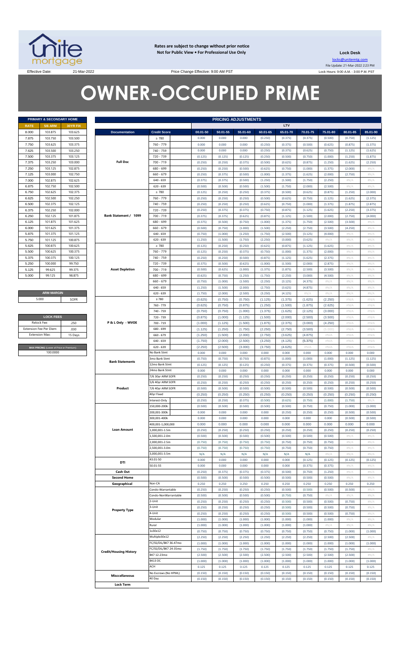

**Rates are subject to change without prior notice Not for Public View • For Professional Use Only** 

**Lock Desk** locks@unitemtg.com File Update: 21-Mar-2022 2:23 PM Lock Hours: 9:00 A.M. - 3:00 P.M. PST

Effective Date: 21-Mar-2022 21-Mar-2022 Price Change Effective: 9:00 AM PST

# **OWNER-OCCUPIED PRIME**

|             | <b>PRIMARY &amp; SECONDARY HOME</b> |                 |
|-------------|-------------------------------------|-----------------|
| <b>RATE</b> | <b>5/6 ARM</b>                      | <b>30YR FIX</b> |
| 8.000       | 103.875                             | 103.625         |
| 7.875       | 103.750                             | 103.500         |
| 7.750       | 103.625                             | 103.375         |
| 7.625       | 103.500                             | 103.250         |
| 7.500       | 103.375                             | 103.125         |
| 7.375       | 103.250                             | 103.000         |
| 7.250       | 103.125                             | 102.875         |
| 7.125       | 103.000                             | 102.750         |
| 7.000       | 102.875                             | 102.625         |
| 6.875       | 102.750                             | 102.500         |
| 6.750       | 102.625                             | 102.375         |
| 6.625       | 102.500                             | 102.250         |
| 6.500       | 102.375                             | 102.125         |
| 6.375       | 102.250                             | 102.000         |
| 6.250       | 102.125                             | 101.875         |
| 6.125       | 101.875                             | 101.625         |
| 6.000       | 101.625                             | 101.375         |
| 5.875       | 101.375                             | 101.125         |
| 5.750       | 101.125                             | 100.875         |
| 5.625       | 100.875                             | 100.625         |
| 5.500       | 100.625                             | 100.375         |
| 5.375       | 100.375                             | 100.125         |
| 5.250       | 100.000                             | 99.750          |
| 5.125       | 99.625                              | 99.375          |
| 5.000       | 99.125                              | 98.875          |

**ARM MARGIN** 5.000

| <b>LOCK FEES</b>                        |         |  |  |  |  |  |  |  |  |  |
|-----------------------------------------|---------|--|--|--|--|--|--|--|--|--|
| Relock Fee:                             | 250     |  |  |  |  |  |  |  |  |  |
| <b>Extension Fee Per Diem</b>           | .030    |  |  |  |  |  |  |  |  |  |
| <b>Extension Max:</b>                   | 15 Days |  |  |  |  |  |  |  |  |  |
|                                         |         |  |  |  |  |  |  |  |  |  |
| MAX PRICING (Lower of Price or Premium) |         |  |  |  |  |  |  |  |  |  |
| 100,0000                                |         |  |  |  |  |  |  |  |  |  |

|       |                                         | PRIMARY & SECONDARY HOME |                               |                       |                  | <b>PRICING ADJUSTMENTS</b> |          |          |          |          |          |          |                    |
|-------|-----------------------------------------|--------------------------|-------------------------------|-----------------------|------------------|----------------------------|----------|----------|----------|----------|----------|----------|--------------------|
|       | <b>5/6 ARM</b>                          | <b>30YR FIX</b>          |                               |                       |                  |                            |          |          | LTV      |          |          |          |                    |
|       | 103.875                                 | 103.625                  | <b>Documentation</b>          | <b>Credit Score</b>   | 00.01-50         | 50.01-55                   | 55.01-60 | 60.01-65 | 65.01-70 | 70.01-75 | 75.01-80 | 80.01-85 | 85.01-90           |
|       | 103.750                                 | 103.500                  |                               | $\geq 780$            | 0.000            | 0.000                      | 0.000    | (0.250)  | (0.375)  | (0.375)  | (0.500)  | (0.750)  | (1.125)            |
|       | 103.625                                 | 103.375                  |                               | 760 - 779             | 0.000            | 0.000                      | 0.000    | (0.250)  | (0.375)  | (0.500)  | (0.625)  | (0.875)  | (1.375)            |
|       | 103.500                                 | 103.250                  |                               | 740 - 759             | 0.000            | 0.000                      | 0.000    | (0.250)  | (0.375)  | (0.625)  | (0.750)  | (1.125)  | (1.625)            |
|       | 103.375                                 | 103.125                  | <b>Full Doc</b>               | 720 - 739             | (0.125)          | (0.125)                    | (0.125)  | (0.250)  | (0.500)  | (0.750)  | (1.000)  | (1.250)  | (1.875)            |
|       | 103.250                                 | 103.000                  |                               | 700 - 719             | (0.250)          | (0.250)                    | (0.375)  | (0.500)  | (0.625)  | (0.875)  | (1.250)  | (1.625)  | (2.250)            |
|       | 103.125                                 | 102.875                  |                               | 680 - 699             | (0.250)          | (0.250)                    | (0.500)  | (0.625)  | (0.750)  | (1.000)  | (1.375)  | (2.000)  |                    |
|       | 103.000                                 | 102.750                  |                               | $660 - 679$           | (0.250)          | (0.375)                    | (0.500)  | (1.000)  | (1.375)  | (1.625)  | (2.000)  | (2.750)  |                    |
|       | 102.875                                 | 102.625                  |                               | 640 - 659             | (0.375)          | (0.375)                    | (0.500)  | (1.250)  | (1.500)  | (1.750)  | (2.250)  | $\#N/A$  |                    |
|       | 102.750                                 | 102.500                  |                               | $620 - 639$           | (0.500)          | (0.500)                    | (0.500)  | (1.500)  | (1.750)  | (2.000)  | (2.500)  | $\#N/A$  |                    |
|       | 102.625                                 | 102.375                  |                               | $\geq 780$            | (0.125)          | (0.250)                    | (0.250)  | (0.375)  | (0.500)  | (0.625)  | (0.875)  | (1.250)  |                    |
|       | 102.500                                 | 102.250                  |                               | 760 - 779             | (0.250)          | (0.250)                    | (0.250)  | (0.500)  | (0.625)  | (0.750)  | (1.125)  | (1.625)  | (2.375)            |
|       | 102.375                                 | 102.125                  |                               | 740 - 759             | (0.250)          | (0.250)                    | (0.250)  | (0.625)  | (0.750)  | (1.000)  | (1.375)  | (1.875)  | (2.875)<br>(3.375) |
|       | 102.250                                 | 102.000                  |                               | 720 - 739             | (0.250)          | (0.375)                    | (0.375)  | (0.750)  | (0.875)  | (1.125)  | (1.625)  | (2.250)  |                    |
|       | 102.125                                 | 101.875                  | Bank Statement / 1099         | 700 - 719             | (0.375)          | (0.375)                    | (0.625)  | (0.875)  | (1.125)  | (1.500)  | (2.000)  | (2.750)  |                    |
|       | 101.875                                 | 101.625                  |                               | 680 - 699             | (0.375)          | (0.500)                    | (0.750)  | (1.000)  | (1.375)  | (1.750)  | (2.500)  | (3.500)  |                    |
|       | 101.625                                 | 101.375                  |                               | $660 - 679$           | (0.500)          | (0.750)                    | (1.000)  | (1.500)  | (2.250)  | (2.750)  | (3.500)  | (4.250)  |                    |
|       | 101.375                                 | 101.125                  |                               | $640 - 659$           | (0.750)          | (1.000)                    | (1.250)  | (1.750)  | (2.500)  | (3.125)  | (4.000)  | $\#N/A$  |                    |
|       | 101.125                                 | 100.875                  |                               | $620 - 639$           | (1.250)          | (1.500)                    | (1.750)  | (2.250)  | (3.000)  | (3.625)  | #N/A     | $\#N/A$  |                    |
|       | 100.875                                 | 100.625                  |                               | $\geq 780$            | (0.125)          | (0.250)                    | (0.250)  | (0.625)  | (0.875)  | (1.125)  | (1.625)  | $\#N/A$  |                    |
|       | 100.625                                 | 100.375                  |                               | 760 - 779             | (0.125)          | (0.250)                    | (0.375)  | (0.750)  | (1.000)  | (1.375)  | (2.000)  | $\#N/A$  |                    |
|       | 100.375                                 | 100.125                  |                               | 740 - 759             | (0.250)          | (0.250)                    | (0.500)  | (0.875)  | (1.125)  | (1.625)  | (2.375)  | $\#N/A$  |                    |
|       | 100.000                                 | 99.750                   |                               | 720 - 739             | (0.375)          | (0.500)                    | (0.625)  | (1.000)  | (1.500)  | (2.000)  | (2.875)  | $\#N/A$  |                    |
|       | 99.625                                  | 99.375                   | <b>Asset Depletion</b>        | $700 - 719$           | (0.500)          | (0.625)                    | (1.000)  | (1.375)  | (1.875)  | (2.500)  | (3.500)  | $\#N/A$  |                    |
|       | 99.125                                  | 98.875                   |                               | 680 - 699             | (0.625)          | (0.750)                    | (1.250)  | (1.750)  | (2.250)  | (3.000)  | (4.500)  | $\#N/A$  |                    |
|       |                                         |                          |                               | $660 - 679$           | (0.750)          | (1.000)                    | (1.500)  | (2.250)  | (3.125)  | (4.375)  | #N/A     | $\#N/A$  |                    |
|       |                                         |                          |                               | $640 - 659$           | (1.250)          | (1.500)                    | (2.000)  | (2.750)  | (3.625)  | (4.875)  | $\#N/A$  | $\#N/A$  |                    |
|       | <b>ARM MARGIN</b>                       |                          |                               | $620 - 639$           | (1.750)          | (2.000)                    | (2.500)  | (3.250)  | (4.125)  | #N/A     | H N/A    | $\#N/A$  |                    |
| 5.000 |                                         | SOFR                     |                               | $\geq 780$            | (0.625)          | (0.750)                    | (0.750)  | (1.125)  | (1.375)  | (1.625)  | (2.250)  | #N/A     |                    |
|       |                                         |                          |                               | 760 - 779             | (0.625)          | (0.750)                    | (0.875)  | (1.250)  | (1.500)  | (1.875)  | (2.625)  | #N/A     |                    |
|       |                                         |                          |                               | 740 - 759             | (0.750)          | (0.750)                    | (1.000)  | (1.375)  | (1.625)  | (2.125)  | (3.000)  | #N/A     |                    |
|       | <b>LOCK FEES</b>                        |                          |                               | 720 - 739             | (0.875)          | (1.000)                    | (1.125)  | (1.500)  | (2.000)  | (2.500)  | (3.500)  | #N/A     |                    |
|       | Relock Fee:                             | .250                     | P & L Only - WVOE             | 700 - 719             | (1.000)          | (1.125)                    | (1.500)  | (1.875)  | (2.375)  | (3.000)  | (4.250)  | #N/A     |                    |
|       | xtension Fee Per Diem                   | .030                     |                               | 680 - 699             | (1.125)          | (1.250)                    | (1.750)  | (2.250)  | (2.750)  | (3.500)  | (5.000)  | #N/A     |                    |
|       | Extension Max:                          | 15 Days                  |                               | 660 - 679             | (1.250)          | (1.500)                    | (2.000)  | (2.750)  | (3.625)  | (4.875)  | $\#N/A$  | #N/A     |                    |
|       |                                         |                          |                               | 640 - 659             | (1.750)          | (2.000)                    | (2.500)  | (3.250)  | (4.125)  | (5.375)  | #N/A     | #N/A     |                    |
|       | MAX PRICING (Lower of Price or Premium) |                          |                               | $620 - 639$           | (2.250)          | (2.500)                    | (3.000)  | (3.750)  | (4.625)  | #N/A     | #N/A     | #N/A     |                    |
|       | 100.0000                                |                          |                               | No Bank Stmt          | 0.000            | 0.000                      | 0.000    | 0.000    | 0.000    | 0.000    | 0.000    | 0.000    |                    |
|       |                                         |                          |                               | 3mo Bank Stmt         | (0.750)          | (0.750)                    | (0.750)  | (0.875)  | (1.000)  | (1.000)  | (1.000)  | (1.125)  |                    |
|       |                                         |                          | <b>Bank Statements</b>        | 12mo Bank Stmt        | (0.125)          | (0.125)                    | (0.125)  | (0.250)  | (0.375)  | (0.375)  | (0.375)  | (0.500)  |                    |
|       |                                         |                          |                               | 24mo Bank Stmt        | 0.000            | 0.000                      | 0.000    | 0.000    | 0.000    | 0.000    | 0.000    | 0.000    |                    |
|       |                                         |                          |                               | 7/6 30yr ARM SOFR     | (0.250)          | (0.250)                    | (0.250)  | (0.250)  | (0.250)  | (0.250)  | (0.250)  | (0.250)  |                    |
|       |                                         |                          |                               | 5/6 40yr ARM SOFR     | (0.250)          | (0.250)                    | (0.250)  | (0.250)  | (0.250)  | (0.250)  | (0.250)  | (0.250)  |                    |
|       |                                         |                          | Product                       | 7/6 40yr ARM SOFR     | (0.500)          | (0.500)                    | (0.500)  | (0.500)  | (0.500)  | (0.500)  | (0.500)  | (0.500)  |                    |
|       |                                         |                          |                               | 40yr Fixed            | (0.250)          | (0.250)                    | (0.250)  | (0.250)  | (0.250)  | (0.250)  | (0.250)  | (0.250)  |                    |
|       |                                         |                          |                               |                       |                  |                            |          |          |          |          |          |          |                    |
|       |                                         |                          |                               | Interest-Only         | (0.250)          | (0.250)                    | (0.375)  | (0.500)  | (0.625)  | (0.750)  | (1.000)  | (1.750)  |                    |
|       |                                         |                          |                               | 150,000-200k          | (0.500)          | (0.500)                    | (0.500)  | (0.500)  | (0.500)  | (0.750)  | (0.750)  | (1.000)  |                    |
|       |                                         |                          |                               | 200,001-300k          | 0.000            | 0.000                      | 0.000    | 0.000    | (0.250)  | (0.250)  | (0.250)  | (0.500)  |                    |
|       |                                         |                          |                               | 300,001-400k          | 0.000            | 0.000                      | 0.000    | 0.000    | 0.000    | 0.000    | 0.000    | (0.500)  |                    |
|       |                                         |                          |                               | 400,001-1,000,000     | 0.000            | 0.000                      | 0.000    | 0.000    | 0.000    | 0.000    | 0.000    | 0.000    |                    |
|       |                                         |                          | <b>Loan Amount</b>            | 000,001-1.5m          | (0.250)          | (0.250)                    | (0.250)  | (0.250)  | (0.250)  | (0.250)  | (0.250)  | (0.250)  |                    |
|       |                                         |                          |                               | 1,500,001-2.0m        | (0.500)          | (0.500)                    | (0.500)  | (0.500)  | (0.500)  | (0.500)  | (0.500)  | $\#N/A$  |                    |
|       |                                         |                          |                               | 000,001-2.5m          | (0.750)          | (0.750)                    | (0.750)  | (0.750)  | (0.750)  | (0.750)  | (0.750)  | $\#N/A$  |                    |
|       |                                         |                          |                               | 500,001-3.0m          | (0.750)          | (0.750)                    | (0.750)  | (0.750)  | (0.750)  | (0.750)  | (0.750)  | $\#N/A$  |                    |
|       |                                         |                          |                               | 3,000,001-3.5m        | N/A              | N/A                        | N/A      | N/A      | N/A      | N/A      | #N/A     | $\#N/A$  |                    |
|       |                                         |                          | DTI                           | 43.01-50              | 0.000            | 0.000                      | 0.000    | 0.000    | 0.000    | (0.125)  | (0.125)  | (0.125)  |                    |
|       |                                         |                          |                               | 50.01-55              | 0.000            | 0.000                      | 0.000    | 0.000    | 0.000    | (0.375)  | (0.375)  | $\#N/A$  |                    |
|       |                                         |                          | Cash Out                      |                       | (0.250)          | (0.375)                    | (0.375)  | (0.375)  | (0.500)  | (0.750)  | (1.250)  | $\#N/A$  |                    |
|       |                                         |                          | <b>Second Home</b>            |                       | (0.500)          | (0.500)                    | (0.500)  | (0.500)  | (0.500)  | (0.500)  | (0.500)  | $\#N/A$  |                    |
|       |                                         |                          | Geographical                  | Non-CA                | 0.250            | 0.250                      | 0.250    | 0.250    | 0.250    | 0.250    | 0.250    | 0.250    |                    |
|       |                                         |                          |                               | Condo-Warrantable     | (0.250)          | (0.250)                    | (0.250)  | (0.250)  | (0.500)  | (0.500)  | (0.500)  | (0.500)  |                    |
|       |                                         |                          |                               | Condo-NonWarrantable  | (0.500)          | (0.500)                    | (0.500)  | (0.500)  | (0.750)  | (0.750)  | H N/A    | $\#N/A$  |                    |
|       |                                         |                          |                               | 2-Unit                | (0.250)          | (0.250)                    | (0.250)  | (0.250)  | (0.500)  | (0.500)  | (0.500)  | (0.750)  |                    |
|       |                                         |                          | <b>Property Type</b>          | 3-Unit                | (0.250)          | (0.250)                    | (0.250)  | (0.250)  | (0.500)  | (0.500)  | (0.500)  | (0.750)  |                    |
|       |                                         |                          |                               | 4-Unit                | (0.250)          | (0.250)                    | (0.250)  | (0.250)  | (0.500)  | (0.500)  | (0.500)  | (0.750)  |                    |
|       |                                         |                          |                               | Modular               | (1.000)          | (1.000)                    | (1.000)  | (1.000)  | (1.000)  | (1.000)  | (1.000)  | $\#N/A$  |                    |
|       |                                         |                          |                               | Rural                 | (1.000)          | (1.000)                    | (1.000)  | (1.000)  | (1.000)  | (1.000)  | H N/A    | $\#N/A$  |                    |
|       |                                         |                          |                               | 1x30x12               | (0.750)          | (0.750)                    | (0.750)  | (0.750)  | (0.750)  | (0.750)  | (0.750)  | (1.000)  |                    |
|       |                                         |                          |                               | Multiple30x12         | (2.250)          | (2.250)                    | (2.250)  | (2.250)  | (2.250)  | (2.250)  | (2.500)  | (2.500)  |                    |
|       |                                         |                          |                               | FC/SS/DIL/BK7 36-47mo | (1.000)          | (1.000)                    | (1.000)  | (1.000)  | (1.000)  | (1.000)  | (1.000)  | (1.000)  |                    |
|       |                                         |                          |                               | FC/SS/DIL/BK7 24-35mo | (1.750)          | (1.750)                    | (1.750)  | (1.750)  | (1.750)  | (1.750)  | (1.750)  | (1.750)  |                    |
|       |                                         |                          | <b>Credit/Housing History</b> | BK7 12-23mo           | (2.500)          | (2.500)                    | (2.500)  | (2.500)  | (2.500)  | (2.500)  | (2.500)  | (2.500)  |                    |
|       |                                         |                          |                               | BK13 DC               | (1.000)          | (1.000)                    | (1.000)  | (1.000)  | (1.000)  | (1.000)  | (1.000)  | (1.000)  |                    |
|       |                                         |                          |                               |                       |                  | 0.125                      | 0.125    | 0.125    | 0.125    | 0.125    | 0.125    |          |                    |
|       |                                         |                          |                               | ACH                   |                  |                            |          |          |          |          |          |          |                    |
|       |                                         |                          | <b>Misccellaneous</b>         | No Escrows (No HPML)  | 0.125<br>(0.150) | 0.125<br>(0.150)           | (0.150)  | (0.150)  | (0.150)  | (0.150)  | (0.150)  | (0.150)  |                    |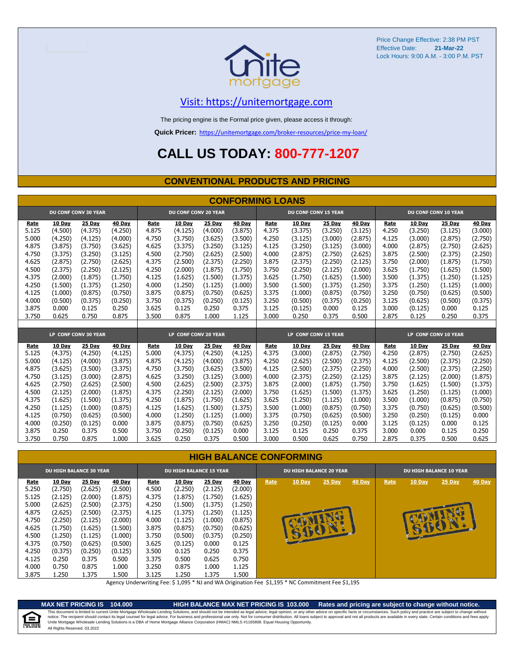

# [V](https://unitemortgage.com/)isit: https://unitemortgage.com

The pricing engine is the Formal price given, please access it through:

**Quick Pricer:** [https://un](https://unitemortgage.com/broker-resources/price-my-loan/)itemortgage.com/broker-resources/price-my-loan/

# **CALL US TODAY: 800-777-1207**

### **CONVENTIONAL PRODUCTS AND PRICING**

|       | <b>CONFORMING LOANS</b> |                             |         |       |                             |         |               |       |                             |         |               |       |               |                             |               |
|-------|-------------------------|-----------------------------|---------|-------|-----------------------------|---------|---------------|-------|-----------------------------|---------|---------------|-------|---------------|-----------------------------|---------------|
|       |                         | <b>DU CONF CONV 30 YEAR</b> |         |       | <b>DU CONF CONV 20 YEAR</b> |         |               |       | <b>DU CONF CONV 15 YEAR</b> |         |               |       |               | <b>DU CONF CONV 10 YEAR</b> |               |
| Rate  | 10 Day                  | 25 Day                      | 40 Day  | Rate  | 10 Day                      | 25 Day  | <b>40 Day</b> | Rate  | 10 Day                      | 25 Day  | <b>40 Day</b> | Rate  | <b>10 Day</b> | 25 Day                      | <b>40 Day</b> |
| 5.125 | (4.500)                 | (4.375)                     | (4.250) | 4.875 | (4.125)                     | (4.000) | (3.875)       | 4.375 | (3.375)                     | (3.250) | (3.125)       | 4.250 | (3.250)       | (3.125)                     | (3.000)       |
| 5.000 | (4.250)                 | (4.125)                     | (4.000) | 4.750 | (3.750)                     | (3.625) | (3.500)       | 4.250 | (3.125)                     | (3.000) | (2.875)       | 4.125 | (3.000)       | (2.875)                     | (2.750)       |
| 4.875 | (3.875)                 | (3.750)                     | (3.625) | 4.625 | (3.375)                     | (3.250) | (3.125)       | 4.125 | (3.250)                     | (3.125) | (3.000)       | 4.000 | (2.875)       | (2.750)                     | (2.625)       |
| 4.750 | (3.375)                 | (3.250)                     | (3.125) | 4.500 | (2.750)                     | (2.625) | (2.500)       | 4.000 | (2.875)                     | (2.750) | (2.625)       | 3.875 | (2.500)       | (2.375)                     | (2.250)       |
| 4.625 | (2.875)                 | (2.750)                     | (2.625) | 4.375 | (2.500)                     | (2.375) | (2.250)       | 3.875 | (2.375)                     | (2.250) | (2.125)       | 3.750 | (2.000)       | (1.875)                     | (1.750)       |
| 4.500 | (2.375)                 | (2.250)                     | (2.125) | 4.250 | (2.000)                     | (1.875) | (1.750)       | 3.750 | (2.250)                     | (2.125) | (2.000)       | 3.625 | (1.750)       | (1.625)                     | (1.500)       |
| 4.375 | (2.000)                 | (1.875)                     | (1.750) | 4.125 | (1.625)                     | (1.500) | (1.375)       | 3.625 | (1.750)                     | (1.625) | (1.500)       | 3.500 | (1.375)       | (1.250)                     | (1.125)       |
| 4.250 | (1.500)                 | (1.375)                     | (1.250) | 4.000 | (1.250)                     | (1.125) | (1.000)       | 3.500 | (1.500)                     | (1.375) | (1.250)       | 3.375 | (1.250)       | (1.125)                     | (1.000)       |
| 4.125 | (1.000)                 | (0.875)                     | (0.750) | 3.875 | (0.875)                     | (0.750) | (0.625)       | 3.375 | (1.000)                     | (0.875) | (0.750)       | 3.250 | (0.750)       | (0.625)                     | (0.500)       |
| 4.000 | (0.500)                 | (0.375)                     | (0.250) | 3.750 | (0.375)                     | (0.250) | (0.125)       | 3.250 | (0.500)                     | (0.375) | (0.250)       | 3.125 | (0.625)       | (0.500)                     | (0.375)       |
| 3.875 | 0.000                   | 0.125                       | 0.250   | 3.625 | 0.125                       | 0.250   | 0.375         | 3.125 | (0.125)                     | 0.000   | 0.125         | 3.000 | (0.125)       | 0.000                       | 0.125         |
| 3.750 | 0.625                   | 0.750                       | 0.875   | 3.500 | 0.875                       | 1.000   | 1.125         | 3.000 | 0.250                       | 0.375   | 0.500         | 2.875 | 0.125         | 0.250                       | 0.375         |
|       |                         |                             |         |       |                             |         |               |       |                             |         |               |       |               |                             |               |
|       |                         | LP CONF CONV 30 YEAR        |         |       | LP CONF CONV 20 YEAR        |         |               |       | LP CONF CONV 15 YEAR        |         |               |       |               | LP CONF CONV 10 YEAR        |               |
| Rate  | 10 Day                  | 25 Day                      | 40 Day  | Rate  | 10 Day                      | 25 Day  | 40 Day        | Rate  | 10 Day                      | 25 Day  | 40 Day        | Rate  | <b>10 Day</b> | 25 Day                      | 40 Day        |
| 5.125 | (4.375)                 | (4.250)                     | (4.125) | 5.000 | (4.375)                     | (4.250) | (4.125)       | 4.375 | (3.000)                     | (2.875) | (2.750)       | 4.250 | (2.875)       | (2.750)                     | (2.625)       |
| 5.000 | (4.125)                 | (4.000)                     | (3.875) | 4.875 | (4.125)                     | (4.000) | (3.875)       | 4.250 | (2.625)                     | (2.500) | (2.375)       | 4.125 | (2.500)       | (2.375)                     | (2.250)       |
| 4.875 | (3.625)                 | (3.500)                     | (3.375) | 4.750 | (3.750)                     | (3.625) | (3.500)       | 4.125 | (2.500)                     | (2.375) | (2.250)       | 4.000 | (2.500)       | (2.375)                     | (2.250)       |
| 4.750 | (3.125)                 | (3.000)                     | (2.875) | 4.625 | (3.250)                     | (3.125) | (3.000)       | 4.000 | (2.375)                     | (2.250) | (2.125)       | 3.875 | (2.125)       | (2.000)                     | (1.875)       |
| 4.625 | (2.750)                 | (2.625)                     | (2.500) | 4.500 | (2.625)                     | (2.500) | (2.375)       | 3.875 | (2.000)                     | (1.875) | (1.750)       | 3.750 | (1.625)       | (1.500)                     | (1.375)       |
| 4.500 | (2.125)                 | (2.000)                     | (1.875) | 4.375 | (2.250)                     | (2.125) | (2.000)       | 3.750 | (1.625)                     | (1.500) | (1.375)       | 3.625 | (1.250)       | (1.125)                     | (1.000)       |
| 4.375 | (1.625)                 | (1.500)                     | (1.375) | 4.250 | (1.875)                     | (1.750) | (1.625)       | 3.625 | (1.250)                     | (1.125) | (1.000)       | 3.500 | (1.000)       | (0.875)                     | (0.750)       |
| 4.250 | (1.125)                 | (1.000)                     | (0.875) | 4.125 | (1.625)                     | (1.500) | (1.375)       | 3.500 | (1.000)                     | (0.875) | (0.750)       | 3.375 | (0.750)       | (0.625)                     | (0.500)       |
| 4.125 | (0.750)                 | (0.625)                     | (0.500) | 4.000 | (1.250)                     | (1.125) | (1.000)       | 3.375 | (0.750)                     | (0.625) | (0.500)       | 3.250 | (0.250)       | (0.125)                     | 0.000         |
| 4.000 | (0.250)                 | (0.125)                     | 0.000   | 3.875 | (0.875)                     | (0.750) | (0.625)       | 3.250 | (0.250)                     | (0.125) | 0.000         | 3.125 | (0.125)       | 0.000                       | 0.125         |
| 3.875 | 0.250                   | 0.375                       | 0.500   | 3.750 | (0.250)                     | (0.125) | 0.000         | 3.125 | 0.125                       | 0.250   | 0.375         | 3.000 | 0.000         | 0.125                       | 0.250         |
| 3.750 | 0.750                   | 0.875                       | 1.000   | 3.625 | 0.250                       | 0.375   | 0.500         | 3.000 | 0.500                       | 0.625   | 0.750         | 2.875 | 0.375         | 0.500                       | 0.625         |

### **HIGH BALANCE CONFORMING**

|                                                                                                                  | <b>DU HIGH BALANCE 30 YEAR</b>                                                                                                              |                                                                                                                                      |                                                                                                                                     |                                                                                                                  | <b>DU HIGH BALANCE 15 YEAR</b>                                                                                                            |                                                                                                                                  |                                                                                                                                         |      | <b>DU HIGH BALANCE 20 YEAR</b> |                        |        | <b>DU HIGH BALANCE 10 YEAR</b> |        |                    |               |  |
|------------------------------------------------------------------------------------------------------------------|---------------------------------------------------------------------------------------------------------------------------------------------|--------------------------------------------------------------------------------------------------------------------------------------|-------------------------------------------------------------------------------------------------------------------------------------|------------------------------------------------------------------------------------------------------------------|-------------------------------------------------------------------------------------------------------------------------------------------|----------------------------------------------------------------------------------------------------------------------------------|-----------------------------------------------------------------------------------------------------------------------------------------|------|--------------------------------|------------------------|--------|--------------------------------|--------|--------------------|---------------|--|
| Rate<br>5.250<br>5.125<br>5.000<br>4.875<br>4.750<br>4.625<br>4.500<br>4.375<br>4.250<br>4.125<br>4.000<br>3.875 | <b>10 Day</b><br>(2.750)<br>(2.125)<br>(2.625)<br>(2.625)<br>(2.250)<br>(1.750)<br>(1.250)<br>(0.750)<br>(0.375)<br>0.250<br>0.750<br>1.250 | 25 Day<br>(2.625)<br>(2.000)<br>(2.500)<br>(2.500)<br>(2.125)<br>(1.625)<br>(1.125)<br>(0.625)<br>(0.250)<br>0.375<br>0.875<br>1.375 | 40 Day<br>(2.500)<br>(1.875)<br>(2.375)<br>(2.375)<br>(2.000)<br>(1.500)<br>(1.000)<br>(0.500)<br>(0.125)<br>0.500<br>1.000<br>.500 | Rate<br>4.500<br>4.375<br>4.250<br>4.125<br>4.000<br>3.875<br>3.750<br>3.625<br>3.500<br>3.375<br>3.250<br>3.125 | <b>10 Day</b><br>(2.250)<br>(1.875)<br>(1.500)<br>(1.375)<br>(1.125)<br>(0.875)<br>(0.500)<br>(0.125)<br>0.125<br>0.500<br>0.875<br>1.250 | 25 Day<br>(2.125)<br>(1.750)<br>(1.375)<br>(1.250)<br>(1.000)<br>(0.750)<br>(0.375)<br>0.000<br>0.250<br>0.625<br>1.000<br>1.375 | <b>40 Day</b><br>(2.000)<br>(1.625)<br>(1.250)<br>(1.125)<br>(0.875)<br>(0.625)<br>(0.250)<br>0.125<br>0.375<br>0.750<br>1.125<br>1.500 | Rate | 10 Day<br>55                   | 25 Day<br><b>SUBIN</b> | 40 Day | Rate                           | 10 Day | 25 Day<br><b>a</b> | <b>40 Day</b> |  |

Agency Underwriting Fee: \$ 1,095 \* NJ and WA Origination Fee \$1,195 \* NC Commitment Fee \$1,195

e

**MAX NET PRICING IS 104.000 HIGH BALANCE MAX NET PRICING IS 103.000 Rates and pricing are subject to change without notice.** All Rights Reserved. 03.2022 This document is limited to current Unite Mortgage Wholesale Lending Solutions, and should not be intended as legal advice, legal opinion, or any other advice on specific facts or circumstances. Such policy and practice ar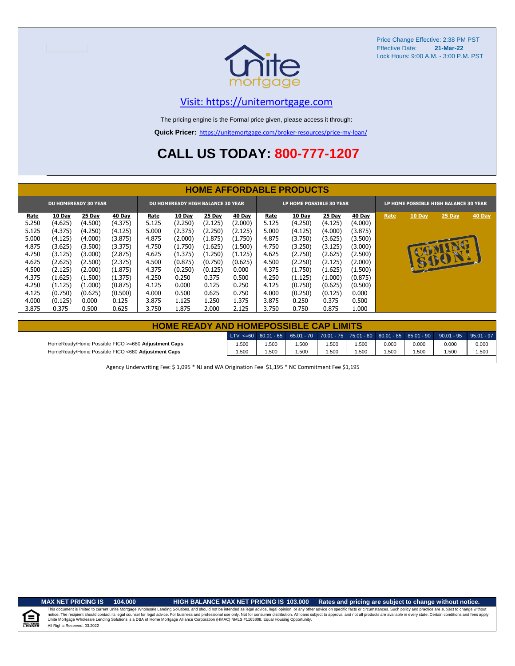

# [V](https://unitemortgage.com/)isit: https://unitemortgage.com

The pricing engine is the Formal price given, please access it through:

**Quick Pricer:** [https://un](https://unitemortgage.com/broker-resources/price-my-loan/)itemortgage.com/broker-resources/price-my-loan/

# **CALL US TODAY: 800-777-1207**

|                                                                  | <b>HOME AFFORDABLE PRODUCTS</b> |         |         |       |         |         |         |                                                                   |         |               |         |      |               |          |        |
|------------------------------------------------------------------|---------------------------------|---------|---------|-------|---------|---------|---------|-------------------------------------------------------------------|---------|---------------|---------|------|---------------|----------|--------|
| <b>DU HOMEREADY 30 YEAR</b><br>DU HOMEREADY HIGH BALANCE 30 YEAR |                                 |         |         |       |         |         |         | LP HOME POSSIBLE 30 YEAR<br>LP HOME POSSIBLE HIGH BALANCE 30 YEAR |         |               |         |      |               |          |        |
| <b>Rate</b>                                                      | 10 Day                          | 25 Day  | 40 Day  | Rate  | 10 Day  | 25 Day  | 40 Day  | Rate                                                              | 10 Day  | <b>25 Day</b> | 40 Day  | Rate | <b>10 Day</b> | 25 Day   | 40 Day |
| 5.250                                                            | (4.625)                         | (4.500) | (4.375) | 5.125 | (2.250) | (2.125) | (2.000) | 5.125                                                             | (4.250) | (4.125)       | (4.000) |      |               |          |        |
| 5.125                                                            | (4.375)                         | (4.250) | (4.125) | 5.000 | (2.375) | (2.250) | (2.125) | 5.000                                                             | (4.125) | (4.000)       | (3.875) |      |               |          |        |
| 5.000                                                            | (4.125)                         | (4.000) | (3.875) | 4.875 | (2.000) | (1.875) | (1.750) | 4.875                                                             | (3.750) | (3.625)       | (3.500) |      |               |          |        |
| 4.875                                                            | (3.625)                         | (3.500) | (3.375) | 4.750 | (1.750) | (1.625) | (1.500) | 4.750                                                             | (3.250) | (3.125)       | (3.000) |      |               | <b>R</b> |        |
| 4.750                                                            | (3.125)                         | (3.000) | (2.875) | 4.625 | (1.375) | (1.250) | (1.125) | 4.625                                                             | (2.750) | (2.625)       | (2.500) |      |               |          |        |
| 4.625                                                            | (2.625)                         | (2.500) | (2.375) | 4.500 | (0.875) | (0.750) | (0.625) | 4.500                                                             | (2.250) | (2.125)       | (2.000) |      |               | 15001    |        |
| 4.500                                                            | (2.125)                         | (2.000) | (1.875) | 4.375 | (0.250) | (0.125) | 0.000   | 4.375                                                             | (1.750) | (1.625)       | (1.500) |      |               |          |        |
| 4.375                                                            | (1.625)                         | (1.500) | (1.375) | 4.250 | 0.250   | 0.375   | 0.500   | 4.250                                                             | (1.125) | (1.000)       | (0.875) |      |               |          |        |
| 4.250                                                            | (1.125)                         | (1.000) | (0.875) | 4.125 | 0.000   | 0.125   | 0.250   | 4.125                                                             | (0.750) | (0.625)       | (0.500) |      |               |          |        |
| 4.125                                                            | (0.750)                         | (0.625) | (0.500) | 4.000 | 0.500   | 0.625   | 0.750   | 4.000                                                             | (0.250) | (0.125)       | 0.000   |      |               |          |        |
| 4.000                                                            | (0.125)                         | 0.000   | 0.125   | 3.875 | 1.125   | 1.250   | 1.375   | 3.875                                                             | 0.250   | 0.375         | 0.500   |      |               |          |        |
| 3.875                                                            | 0.375                           | 0.500   | 0.625   | 3.750 | 1.875   | 2.000   | 2.125   | 3.750                                                             | 0.750   | 0.875         | 1.000   |      |               |          |        |

| <b>HOME READY AND HOMEPOSSIBLE CAP LIMITS</b>      |       |      |      |       |      |       |       |                                                                                                  |       |  |  |  |
|----------------------------------------------------|-------|------|------|-------|------|-------|-------|--------------------------------------------------------------------------------------------------|-------|--|--|--|
|                                                    |       |      |      |       |      |       |       | LTV <=60 60.01 - 65 65.01 - 70 70.01 - 75 75.01 - 80 80.01 - 85 85.01 - 90 90.01 - 95 95.01 - 97 |       |  |  |  |
| HomeReady/Home Possible FICO >=680 Adjustment Caps | 1.500 | .500 | .500 | 1.500 | .500 | 0.000 | 0.000 | 0.000                                                                                            | 0.000 |  |  |  |
| HomeReady/Home Possible FICO <680 Adjustment Caps  | 1.500 | .500 | .500 | 1.500 | .500 | 1.500 | 1.500 | 1.500                                                                                            | 1.500 |  |  |  |

Agency Underwriting Fee: \$ 1,095 \* NJ and WA Origination Fee \$1,195 \* NC Commitment Fee \$1,195

 $\equiv$ 

**MAX NET PRICING IS 104.000 HIGH BALANCE MAX NET PRICING IS 103.000 Rates and pricing are subject to change without notice.**

All Rights Reserved. 03.2022 This document is limited to current Unite Mortgage Wholesale Lending Solutions, and should not be intended as legal advice, legal opinion, or any other advice on specific facts or circumstances. Such policy and practice ar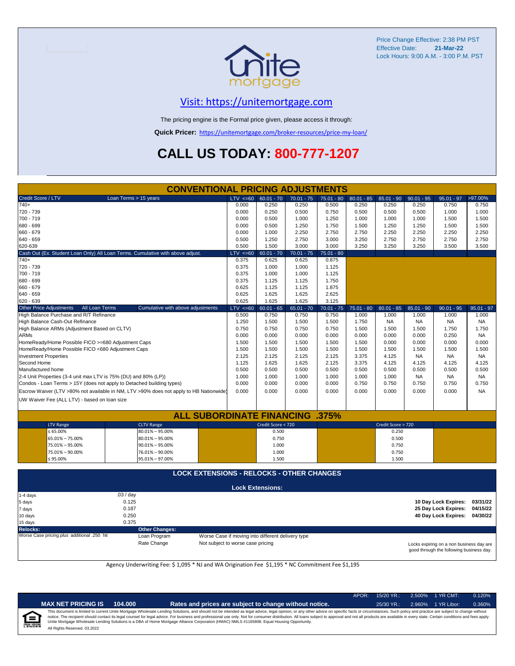

# [V](https://unitemortgage.com/)isit: https://unitemortgage.com

The pricing engine is the Formal price given, please access it through:

**Quick Pricer:** [https://un](https://unitemortgage.com/broker-resources/price-my-loan/)itemortgage.com/broker-resources/price-my-loan/

# **CALL US TODAY: 800-777-1207**

| <b>CONVENTIONAL PRICING ADJUSTMENTS</b>            |                                                  |                                                                                        |  |              |                         |              |              |              |                    |              |                      |              |
|----------------------------------------------------|--------------------------------------------------|----------------------------------------------------------------------------------------|--|--------------|-------------------------|--------------|--------------|--------------|--------------------|--------------|----------------------|--------------|
| Credit Score / LTV                                 |                                                  | Loan Terms > 15 years                                                                  |  | $LTV \le 60$ | $60.01 - 70$            | $70.01 - 75$ | 75.01 - 80   | $80.01 - 85$ | $85.01 - 90$       | $90.01 - 95$ | $95.01 - 97$         | >97.00%      |
| $740+$                                             |                                                  |                                                                                        |  | 0.000        | 0.250                   | 0.250        | 0.500        | 0.250        | 0.250              | 0.250        | 0.750                | 0.750        |
| 720 - 739                                          |                                                  |                                                                                        |  | 0.000        | 0.250                   | 0.500        | 0.750        | 0.500        | 0.500              | 0.500        | 1.000                | 1.000        |
| 700 - 719                                          |                                                  |                                                                                        |  | 0.000        | 0.500                   | 1.000        | 1.250        | 1.000        | 1.000              | 1.000        | 1.500                | 1.500        |
| 680 - 699                                          |                                                  |                                                                                        |  | 0.000        | 0.500                   | 1.250        | 1.750        | 1.500        | 1.250              | 1.250        | 1.500                | 1.500        |
| 660 - 679                                          |                                                  |                                                                                        |  | 0.000        | 1.000                   | 2.250        | 2.750        | 2.750        | 2.250              | 2.250        | 2.250                | 2.250        |
| 640 - 659                                          |                                                  |                                                                                        |  | 0.500        | 1.250                   | 2.750        | 3.000        | 3.250        | 2.750              | 2.750        | 2.750                | 2.750        |
| 620-639                                            |                                                  |                                                                                        |  | 0.500        | 1.500                   | 3.000        | 3.000        | 3.250        | 3.250              | 3.250        | 3.500                | 3.500        |
|                                                    |                                                  | Cash Out (Ex. Student Loan Only) All Loan Terms. Cumulative with above adjust.         |  | $LTV < =60$  | $60.01 - 70$            | $70.01 - 75$ | $75.01 - 80$ |              |                    |              |                      |              |
| $740+$                                             |                                                  |                                                                                        |  | 0.375        | 0.625                   | 0.625        | 0.875        |              |                    |              |                      |              |
| 720 - 739                                          |                                                  |                                                                                        |  | 0.375        | 1.000                   | 1.000        | 1.125        |              |                    |              |                      |              |
| 700 - 719                                          |                                                  |                                                                                        |  | 0.375        | 1.000                   | 1.000        | 1.125        |              |                    |              |                      |              |
| 680 - 699                                          |                                                  |                                                                                        |  | 0.375        | 1.125                   | 1.125        | 1.750        |              |                    |              |                      |              |
| 660 - 679                                          |                                                  |                                                                                        |  | 0.625        | 1.125                   | 1.125        | 1.875        |              |                    |              |                      |              |
| 640 - 659                                          |                                                  |                                                                                        |  | 0.625        | 1.625                   | 1.625        | 2.625        |              |                    |              |                      |              |
| 620 - 639                                          |                                                  |                                                                                        |  | 0.625        | 1.625                   | 1.625        | 3.125        |              |                    |              |                      |              |
| <b>Other Price Adjustments</b>                     | All Loan Terms                                   | Cumulative with above adjustments                                                      |  | LTV < 60     | $60.01 - 65$            | $65.01 - 70$ | $70.01 - 75$ | 75.01 - 80   | $80.01 - 85$       | $85.01 - 90$ | $90.01 - 95$         | $95.01 - 97$ |
| High Balance Purchase and R/T Refinance            |                                                  |                                                                                        |  | 0.500        | 0.750                   | 0.750        | 0.750        | 1.000        | 1.000              | 1.000        | 1.000                | 1.000        |
| High Balance Cash-Out Refinance                    |                                                  |                                                                                        |  | 1.250        | 1.500                   | 1.500        | 1.500        | 1.750        | <b>NA</b>          | <b>NA</b>    | <b>NA</b>            | <b>NA</b>    |
| High Balance ARMs (Adjustment Based on CLTV)       |                                                  |                                                                                        |  | 0.750        | 0.750                   | 0.750        | 0.750        | 1.500        | 1.500              | 1.500        | 1.750                | 1.750        |
| <b>ARMs</b>                                        |                                                  |                                                                                        |  | 0.000        | 0.000                   | 0.000        | 0.000        | 0.000        | 0.000              | 0.000        | 0.250                | <b>NA</b>    |
| HomeReady/Home Possible FICO >=680 Adjustment Caps |                                                  |                                                                                        |  | 1.500        | 1.500                   | 1.500        | 1.500        | 1.500        | 0.000              | 0.000        | 0.000                | 0.000        |
| HomeReady/Home Possible FICO <680 Adjustment Caps  |                                                  |                                                                                        |  | 1.500        | 1.500                   | 1.500        | 1.500        | 1.500        | 1.500              | 1.500        | 1.500                | 1.500        |
| <b>Investment Properties</b>                       |                                                  |                                                                                        |  | 2.125        | 2.125                   | 2.125        | 2.125        | 3.375        | 4.125              | <b>NA</b>    | <b>NA</b>            | <b>NA</b>    |
| Second Home                                        |                                                  |                                                                                        |  | 1.125        | 1.625                   | 1.625        | 2.125        | 3.375        | 4.125              | 4.125        | 4.125                | 4.125        |
| Manufactured home                                  |                                                  |                                                                                        |  | 0.500        | 0.500                   | 0.500        | 0.500        | 0.500        | 0.500              | 0.500        | 0.500                | 0.500        |
|                                                    |                                                  | 2-4 Unit Properties (3-4 unit max LTV is 75% (DU) and 80% (LP))                        |  | 1.000        | 1.000                   | 1.000        | 1.000        | 1.000        | 1.000              | <b>NA</b>    | <b>NA</b>            | <b>NA</b>    |
|                                                    |                                                  | Condos - Loan Terms > 15Y (does not apply to Detached building types)                  |  | 0.000        | 0.000                   | 0.000        | 0.000        | 0.750        | 0.750              | 0.750        | 0.750                | 0.750        |
|                                                    |                                                  | Escrow Waiver (LTV >80% not available in NM, LTV >90% does not apply to HB Nationwide) |  | 0.000        | 0.000                   | 0.000        | 0.000        | 0.000        | 0.000              | 0.000        | 0.000                | <b>NA</b>    |
| UW Waiver Fee (ALL LTV) - based on loan size       |                                                  |                                                                                        |  |              |                         |              |              |              |                    |              |                      |              |
|                                                    |                                                  |                                                                                        |  |              |                         |              |              |              |                    |              |                      |              |
|                                                    |                                                  | <b>ALL SUBORDINATE FINANCING .375%</b>                                                 |  |              |                         |              |              |              |                    |              |                      |              |
| <b>LTV Range</b>                                   |                                                  | <b>CLTV Range</b>                                                                      |  |              | Credit Score < 720      |              |              |              | Credit Score > 720 |              |                      |              |
| $\leq 65.00\%$                                     |                                                  | $80.01\% - 95.00\%$                                                                    |  |              | 0.500                   |              |              |              | 0.250              |              |                      |              |
| 65.01% - 75.00%                                    |                                                  | $80.01\% - 95.00\%$                                                                    |  |              | 0.750                   |              |              |              | 0.500              |              |                      |              |
| 75.01% - 95.00%                                    |                                                  | $90.01\% - 95.00\%$                                                                    |  |              | 1.000                   |              |              |              | 0.750              |              |                      |              |
| 75.01% - 90.00%                                    |                                                  | 76.01% - 90.00%                                                                        |  |              | 1.000                   |              |              |              | 0.750              |              |                      |              |
| $\leq 95.00\%$                                     |                                                  | 95.01% - 97.00%                                                                        |  |              | 1.500                   |              |              |              | 1.500              |              |                      |              |
|                                                    |                                                  |                                                                                        |  |              |                         |              |              |              |                    |              |                      |              |
|                                                    | <b>LOCK EXTENSIONS - RELOCKS - OTHER CHANGES</b> |                                                                                        |  |              |                         |              |              |              |                    |              |                      |              |
|                                                    |                                                  |                                                                                        |  |              | <b>Lock Extensions:</b> |              |              |              |                    |              |                      |              |
| 1-4 days                                           | .03/day                                          |                                                                                        |  |              |                         |              |              |              |                    |              |                      |              |
| 5 days                                             |                                                  | 0.125                                                                                  |  |              |                         |              |              |              |                    |              | 10 Day Lock Expires: | 03/31/22     |
| 7 days                                             |                                                  | 0.187                                                                                  |  |              |                         |              |              |              |                    |              | 25 Day Lock Expires: | 04/15/22     |
| 10 days                                            |                                                  | 0.250                                                                                  |  |              |                         |              |              |              |                    |              | 40 Day Lock Expires: | 04/30/22     |
| 15 days                                            |                                                  |                                                                                        |  |              |                         |              |              |              |                    |              |                      |              |

**Relocks: Other Changes:**

Loan Program *Program* Worse Case if moving into different delivery type Rate Change **Not** subject to worse case pricing Not subject to worse case pricing

Locks expiring on a non business day are good through the following business day.

Agency Underwriting Fee: \$ 1,095 \* NJ and WA Origination Fee \$1,195 \* NC Commitment Fee \$1,195

| î | m |  |
|---|---|--|
|   |   |  |

| ET PRICING IS | 104.000 |
|---------------|---------|
|---------------|---------|

**MAX NET PRICING IS 104.000 Rates and prices are subject to change without notice.** 25/30 YR.: 2.960% 1 YR Libor: 0.360%

APOR: 15/20 YR.: 2.500% 1 YR CMT: 0.120%

All Rights Reserved. 03.2022 This document is limited to current Unite Mortgage Wholesale Lending Solutions, and should not be intended as legal advice, legal opinion, or any other advice on specific facts or circumstances. Such policy and practice ar